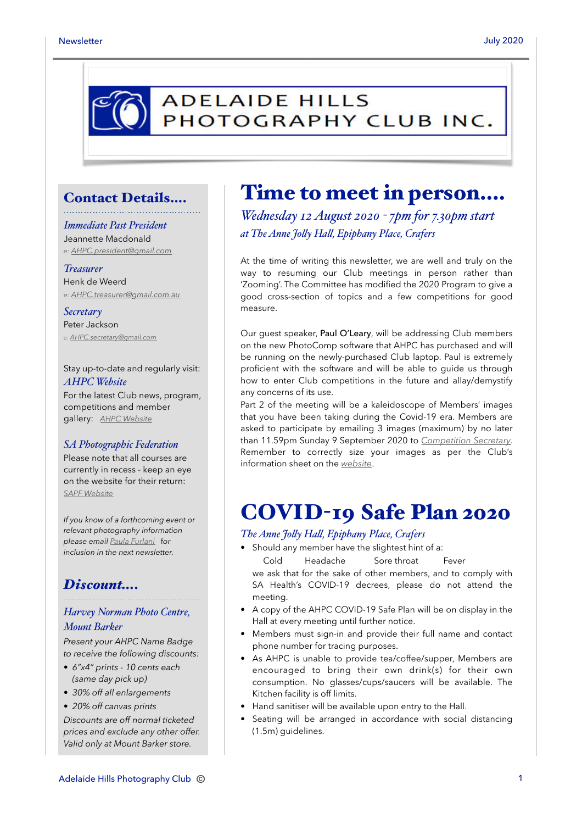## **ADELAIDE HILLS** PHOTOGRAPHY CLUB INC.

### Contact Details….

*Immediate Past President* Jeannette Macdonald *e: [AHPC.president@gmail.com](mailto:AHPC.president@gmail.com)*

*Treasurer* Henk de Weerd *e: [AHPC.treasurer@gmail.com.au](mailto:AHPC.treasurer@gmail.com.au)*

*Secretary* Peter Jackson *e: [AHPC.secretary@gmail.com](mailto:AHPC.secretary@gmail.com)*

Stay up-to-date and regularly visit: *AHPC Website*

For the latest Club news, program, competitions and member gallery: *[AHPC Website](http://www.adelaidehillsphotographyclub.com.au)*

#### *SA Photographic Federation*

Please note that all courses are currently in recess - keep an eye on the website for their return: *[SAPF Website](https://www.sapf.org.au)*

*If you know of a forthcoming event or relevant photography information please email [Paula Furlani](mailto:paulaphotoclick@gmail.com)* f*or inclusion in the next newsletter.* 

### *Discount….*

### *Harvey Norman Photo Centre, Mount Barker*

*Present your AHPC Name Badge to receive the following discounts:* 

- *6"x4" prints 10 cents each (same day pick up)*
- *30% off all enlargements*
- *20% off canvas prints*

*Discounts are off normal ticketed prices and exclude any other offer. Valid only at Mount Barker store.*

## Time to meet in person….

*Wednesday 12 August 2020 - 7pm for 7.30pm start at The Anne Joly Hal, Epiphany Place, Crafers*

At the time of writing this newsletter, we are well and truly on the way to resuming our Club meetings in person rather than 'Zooming'. The Committee has modified the 2020 Program to give a good cross-section of topics and a few competitions for good measure.

Our guest speaker, Paul O'Leary, will be addressing Club members on the new PhotoComp software that AHPC has purchased and will be running on the newly-purchased Club laptop. Paul is extremely proficient with the software and will be able to guide us through how to enter Club competitions in the future and allay/demystify any concerns of its use.

Part 2 of the meeting will be a kaleidoscope of Members' images that you have been taking during the Covid-19 era. Members are asked to participate by emailing 3 images (maximum) by no later than 11.59pm Sunday 9 September 2020 to *[Competition Secretary](mailto:ahpc.competitionsecretary@gmail.com?subject=AHPC%20-%20competition%20entries)*. Remember to correctly size your images as per the Club's information sheet on the *[website](https://www.adelaidehillsphotographyclub.com.au/workshops?start=2)*.

# COVID-19 Safe Plan 2020

### *The Anne Joly Hal, Epiphany Place, Crafers*

• Should any member have the slightest hint of a: Cold Headache Sore throat Fever

we ask that for the sake of other members, and to comply with SA Health's COVID-19 decrees, please do not attend the meeting.

- A copy of the AHPC COVID-19 Safe Plan will be on display in the Hall at every meeting until further notice.
- Members must sign-in and provide their full name and contact phone number for tracing purposes.
- As AHPC is unable to provide tea/coffee/supper, Members are encouraged to bring their own drink(s) for their own consumption. No glasses/cups/saucers will be available. The Kitchen facility is off limits.
- Hand sanitiser will be available upon entry to the Hall.
- Seating will be arranged in accordance with social distancing (1.5m) guidelines.